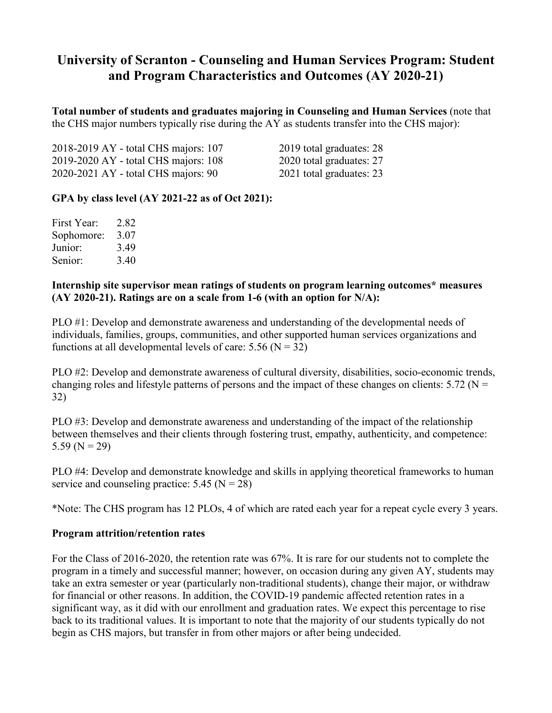# **University of Scranton - Counseling and Human Services Program: Student and Program Characteristics and Outcomes (AY 2020-21)**

**Total number of students and graduates majoring in Counseling and Human Services** (note that the CHS major numbers typically rise during the AY as students transfer into the CHS major):

| 2018-2019 AY - total CHS majors: 107 | 2019 total graduates: 28 |
|--------------------------------------|--------------------------|
| 2019-2020 AY - total CHS majors: 108 | 2020 total graduates: 27 |
| 2020-2021 AY - total CHS majors: 90  | 2021 total graduates: 23 |

## **GPA by class level (AY 2021-22 as of Oct 2021):**

| First Year: | 2.82 |
|-------------|------|
| Sophomore:  | 3.07 |
| Junior:     | 3.49 |
| Senior:     | 3.40 |

#### **Internship site supervisor mean ratings of students on program learning outcomes\* measures (AY 2020-21). Ratings are on a scale from 1-6 (with an option for N/A):**

PLO #1: Develop and demonstrate awareness and understanding of the developmental needs of individuals, families, groups, communities, and other supported human services organizations and functions at all developmental levels of care:  $5.56$  (N = 32)

PLO #2: Develop and demonstrate awareness of cultural diversity, disabilities, socio-economic trends, changing roles and lifestyle patterns of persons and the impact of these changes on clients:  $5.72$  (N = 32)

PLO #3: Develop and demonstrate awareness and understanding of the impact of the relationship between themselves and their clients through fostering trust, empathy, authenticity, and competence: 5.59 ( $N = 29$ )

PLO #4: Develop and demonstrate knowledge and skills in applying theoretical frameworks to human service and counseling practice:  $5.45$  (N = 28)

\*Note: The CHS program has 12 PLOs, 4 of which are rated each year for a repeat cycle every 3 years.

## **Program attrition/retention rates**

For the Class of 2016-2020, the retention rate was 67%. It is rare for our students not to complete the program in a timely and successful manner; however, on occasion during any given AY, students may take an extra semester or year (particularly non-traditional students), change their major, or withdraw for financial or other reasons. In addition, the COVID-19 pandemic affected retention rates in a significant way, as it did with our enrollment and graduation rates. We expect this percentage to rise back to its traditional values. It is important to note that the majority of our students typically do not begin as CHS majors, but transfer in from other majors or after being undecided.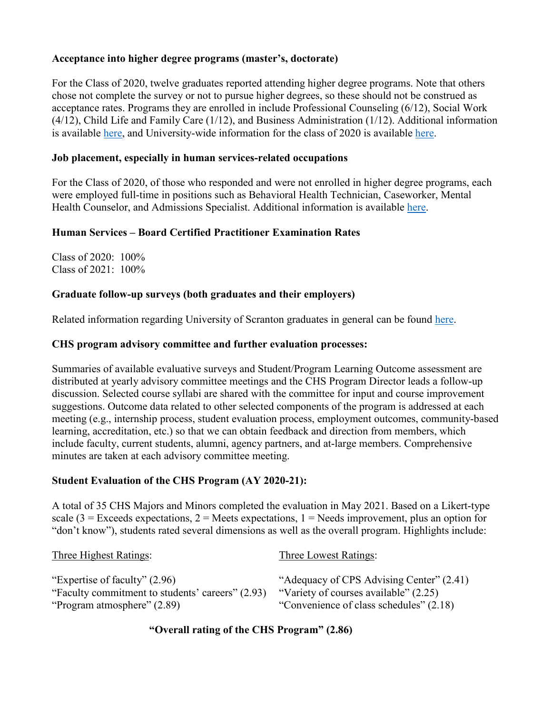# **Acceptance into higher degree programs (master's, doctorate)**

For the Class of 2020, twelve graduates reported attending higher degree programs. Note that others chose not complete the survey or not to pursue higher degrees, so these should not be construed as acceptance rates. Programs they are enrolled in include Professional Counseling (6/12), Social Work (4/12), Child Life and Family Care (1/12), and Business Administration (1/12). Additional information is available [here,](https://www.scranton.edu/studentlife/studentaffairs/careers/sub-pages/placement-summaries/grad-school/gradschool-2015-2019.pdf) and University-wide information for the class of 2020 is available [here.](https://www.scranton.edu/studentlife/studentaffairs/careers/sub-pages/followup-surveys/2020-ug-fds.pdf)

## **Job placement, especially in human services-related occupations**

For the Class of 2020, of those who responded and were not enrolled in higher degree programs, each were employed full-time in positions such as Behavioral Health Technician, Caseworker, Mental Health Counselor, and Admissions Specialist. Additional information is available [here.](https://www.scranton.edu/studentlife/studentaffairs/careers/sub-pages/placement-summaries/employment/2020/chs.pdf)

# **Human Services – Board Certified Practitioner Examination Rates**

Class of 2020: 100% Class of 2021: 100%

## **Graduate follow-up surveys (both graduates and their employers)**

Related information regarding University of Scranton graduates in general can be found [here.](https://www.scranton.edu/studentlife/studentaffairs/careers/sub-pages/followup-surveys/2020-ug-fds.pdf)

## **CHS program advisory committee and further evaluation processes:**

Summaries of available evaluative surveys and Student/Program Learning Outcome assessment are distributed at yearly advisory committee meetings and the CHS Program Director leads a follow-up discussion. Selected course syllabi are shared with the committee for input and course improvement suggestions. Outcome data related to other selected components of the program is addressed at each meeting (e.g., internship process, student evaluation process, employment outcomes, community-based learning, accreditation, etc.) so that we can obtain feedback and direction from members, which include faculty, current students, alumni, agency partners, and at-large members. Comprehensive minutes are taken at each advisory committee meeting.

## **Student Evaluation of the CHS Program (AY 2020-21):**

A total of 35 CHS Majors and Minors completed the evaluation in May 2021. Based on a Likert-type scale (3 = Exceeds expectations, 2 = Meets expectations, 1 = Needs improvement, plus an option for "don't know"), students rated several dimensions as well as the overall program. Highlights include:

| Three Highest Ratings:                                                            | Three Lowest Ratings:                                                             |
|-----------------------------------------------------------------------------------|-----------------------------------------------------------------------------------|
| "Expertise of faculty" (2.96)<br>"Faculty commitment to students' careers" (2.93) | "Adequacy of CPS Advising Center" (2.41)<br>"Variety of courses available" (2.25) |
| "Program atmosphere" (2.89)                                                       | "Convenience of class schedules" (2.18)                                           |

**"Overall rating of the CHS Program" (2.86)**